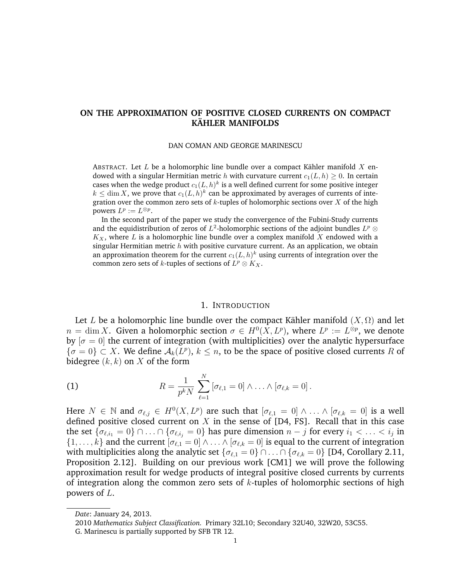# **ON THE APPROXIMATION OF POSITIVE CLOSED CURRENTS ON COMPACT KAHLER MANIFOLDS ¨**

#### DAN COMAN AND GEORGE MARINESCU

ABSTRACT. Let  $L$  be a holomorphic line bundle over a compact Kähler manifold  $X$  endowed with a singular Hermitian metric h with curvature current  $c_1(L, h) \geq 0$ . In certain cases when the wedge product  $c_1(L,h)^k$  is a well defined current for some positive integer  $k \leq \dim X,$  we prove that  $c_1(L, h)^k$  can be approximated by averages of currents of integration over the common zero sets of  $k$ -tuples of holomorphic sections over  $X$  of the high powers  $L^p := L^{\otimes p}$ .

In the second part of the paper we study the convergence of the Fubini-Study currents and the equidistribution of zeros of  $L^2$ -holomorphic sections of the adjoint bundles  $L^p\otimes$  $K_X$ , where L is a holomorphic line bundle over a complex manifold X endowed with a singular Hermitian metric  $h$  with positive curvature current. As an application, we obtain an approximation theorem for the current  $c_1(L,h)^k$  using currents of integration over the common zero sets of k-tuples of sections of  $L^p \otimes K_X$ .

### 1. INTRODUCTION

Let L be a holomorphic line bundle over the compact Kähler manifold  $(X,\Omega)$  and let  $n = \dim X$ . Given a holomorphic section  $\sigma \in H^0(X, L^p)$ , where  $L^p := L^{\otimes p}$ , we denote by  $[\sigma = 0]$  the current of integration (with multiplicities) over the analytic hypersurface  $\{\sigma = 0\} \subset X$ . We define  $\mathcal{A}_k(L^p)$ ,  $k \leq n$ , to be the space of positive closed currents R of bidegree  $(k, k)$  on X of the form

(1) 
$$
R = \frac{1}{p^k N} \sum_{\ell=1}^N [\sigma_{\ell,1} = 0] \wedge \ldots \wedge [\sigma_{\ell,k} = 0].
$$

Here  $N \in \mathbb{N}$  and  $\sigma_{\ell,j} \in H^0(X, L^p)$  are such that  $[\sigma_{\ell,1} = 0] \wedge \ldots \wedge [\sigma_{\ell,k} = 0]$  is a well defined positive closed current on  $X$  in the sense of [D4, FS]. Recall that in this case the set  $\{\sigma_{\ell,i_1} = 0\} \cap \ldots \cap \{\sigma_{\ell,i_j} = 0\}$  has pure dimension  $n-j$  for every  $i_1 < \ldots < i_j$  in  $\{1,\ldots,k\}$  and the current  $[\sigma_{\ell,1} = 0] \wedge \ldots \wedge [\sigma_{\ell,k} = 0]$  is equal to the current of integration with multiplicities along the analytic set  $\{\sigma_{\ell,1} = 0\} \cap \ldots \cap \{\sigma_{\ell,k} = 0\}$  [D4, Corollary 2.11, Proposition 2.12]. Building on our previous work [CM1] we will prove the following approximation result for wedge products of integral positive closed currents by currents of integration along the common zero sets of  $k$ -tuples of holomorphic sections of high powers of L.

*Date*: January 24, 2013.

<sup>2010</sup> *Mathematics Subject Classification.* Primary 32L10; Secondary 32U40, 32W20, 53C55.

G. Marinescu is partially supported by SFB TR 12.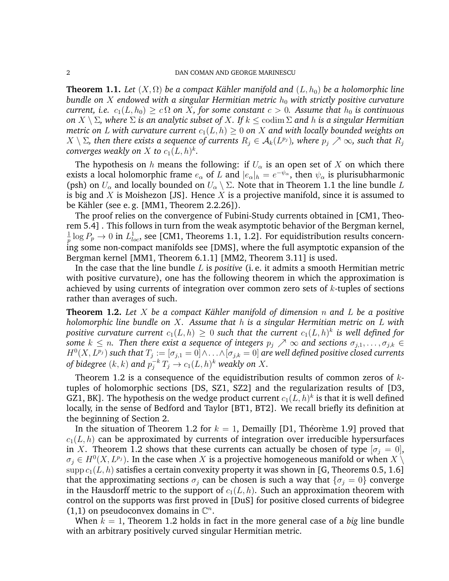**Theorem 1.1.** *Let*  $(X, \Omega)$  *be a compact Kähler manifold and*  $(L, h_0)$  *be a holomorphic line bundle on X endowed with a singular Hermitian metric*  $h_0$  *with strictly positive curvature current, i.e.*  $c_1(L, h_0) \geq c \Omega$  *on* X, for some constant  $c > 0$ . Assume that  $h_0$  is continuous *on* X \ Σ*, where* Σ *is an analytic subset of* X*. If* k ≤ codim Σ *and* h *is a singular Hermitian metric on L with curvature current*  $c_1(L, h) > 0$  *on X and with locally bounded weights on*  $X\setminus\Sigma$ , then there exists a sequence of currents  $R_j\in\mathcal{A}_k(L^{p_j})$ , where  $p_j\nearrow\infty$ , such that  $R_j$ converges weakly on  $X$  to  $c_1(L, h)^k$ .

The hypothesis on h means the following: if  $U_{\alpha}$  is an open set of X on which there exists a local holomorphic frame  $e_\alpha$  of L and  $|e_\alpha|_h = e^{-\psi_\alpha}$ , then  $\psi_\alpha$  is plurisubharmonic (psh) on  $U_{\alpha}$  and locally bounded on  $U_{\alpha} \setminus \Sigma$ . Note that in Theorem 1.1 the line bundle L is big and X is Moishezon [JS]. Hence X is a projective manifold, since it is assumed to be Kähler (see e.g.  $[MM1, Theorem 2.2.26]$ ).

The proof relies on the convergence of Fubini-Study currents obtained in [CM1, Theorem 5.4] . This follows in turn from the weak asymptotic behavior of the Bergman kernel, 1  $\frac{1}{p}\log P_p\to 0$  in  $L^1_{loc}$ , see [CM1, Theorems 1.1, 1.2]. For equidistribution results concerning some non-compact manifolds see [DMS], where the full asymptotic expansion of the Bergman kernel [MM1, Theorem 6.1.1] [MM2, Theorem 3.11] is used.

In the case that the line bundle L is *positive* (i. e. it admits a smooth Hermitian metric with positive curvature), one has the following theorem in which the approximation is achieved by using currents of integration over common zero sets of  $k$ -tuples of sections rather than averages of such.

**Theorem 1.2.** Let X be a compact Kähler manifold of dimension  $n$  and  $L$  be a positive *holomorphic line bundle on* X*. Assume that* h *is a singular Hermitian metric on* L *with* positive curvature current  $c_1(L,h)\,\geq\, 0$  such that the current  $c_1(L,h)^k$  is well defined for *some*  $k \leq n$ . Then there exist a sequence of integers  $p_j \nearrow \infty$  and sections  $\sigma_{j,1}, \ldots, \sigma_{j,k} \in$  $H^0(X, L^{p_j})$  such that  $T_j := [\sigma_{j,1} = 0] \wedge \ldots \wedge [\sigma_{j,k} = 0]$  are well defined positive closed currents *of bidegree*  $(k, k)$  and  $p_j^{-k}$   $T_j \rightarrow c_1(L, h)^k$  weakly on  $X$ .

Theorem 1.2 is a consequence of the equidistribution results of common zeros of  $k$ tuples of holomorphic sections [DS, SZ1, SZ2] and the regularization results of [D3, GZ1, BK]. The hypothesis on the wedge product current  $c_1(L,h)^k$  is that it is well defined locally, in the sense of Bedford and Taylor [BT1, BT2]. We recall briefly its definition at the beginning of Section 2.

In the situation of Theorem 1.2 for  $k = 1$ , Demailly [D1, Théorème 1.9] proved that  $c_1(L, h)$  can be approximated by currents of integration over irreducible hypersurfaces in X. Theorem 1.2 shows that these currents can actually be chosen of type  $[\sigma_i = 0]$ ,  $\sigma_j \in H^0(X, L^{p_j})$ . In the case when X is a projective homogeneous manifold or when  $X \setminus$ supp  $c_1(L, h)$  satisfies a certain convexity property it was shown in [G, Theorems 0.5, 1.6] that the approximating sections  $\sigma_i$  can be chosen is such a way that  $\{\sigma_i = 0\}$  converge in the Hausdorff metric to the support of  $c_1(L, h)$ . Such an approximation theorem with control on the supports was first proved in [DuS] for positive closed currents of bidegree (1,1) on pseudoconvex domains in  $\mathbb{C}^n$ .

When  $k = 1$ , Theorem 1.2 holds in fact in the more general case of a *big* line bundle with an arbitrary positively curved singular Hermitian metric.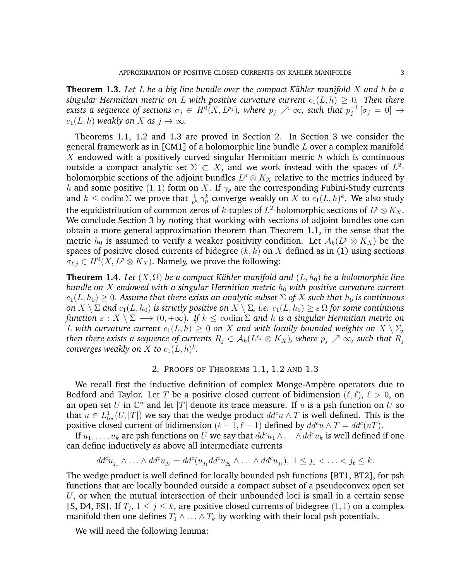**Theorem 1.3.** Let L be a big line bundle over the compact Kähler manifold X and h be a *singular Hermitian metric on L with positive curvature current*  $c_1(L, h) \geq 0$ . Then there exists a sequence of sections  $\sigma_j \in H^0(X, L^{p_j})$ , where  $p_j \nearrow \infty$ , such that  $p_j^{-1}$  $_j^{-1}\left[\sigma_j\,=\,0\right]\,\rightarrow$  $c_1(L, h)$  *weakly on* X *as*  $j \to \infty$ *.* 

Theorems 1.1, 1.2 and 1.3 are proved in Section 2. In Section 3 we consider the general framework as in [CM1] of a holomorphic line bundle L over a complex manifold X endowed with a positively curved singular Hermitian metric  $h$  which is continuous outside a compact analytic set  $\Sigma \subset X$ , and we work instead with the spaces of  $L^2$ holomorphic sections of the adjoint bundles  $L^p\otimes K_X$  relative to the metrics induced by h and some positive (1, 1) form on X. If  $\gamma_p$  are the corresponding Fubini-Study currents and  $k \leq \operatorname{codim} \Sigma$  we prove that  $\frac{1}{p^k} \gamma_p^k$  converge weakly on  $X$  to  $c_1(L, h)^k$ . We also study the equidistribution of common zeros of  $k$ -tuples of  $L^2$ -holomorphic sections of  $L^p\otimes K_X.$ We conclude Section 3 by noting that working with sections of adjoint bundles one can obtain a more general approximation theorem than Theorem 1.1, in the sense that the metric  $h_0$  is assumed to verify a weaker positivity condition. Let  $\mathcal{A}_k(L^p \otimes K_X)$  be the spaces of positive closed currents of bidegree  $(k, k)$  on  $X$  defined as in (1) using sections  $\sigma_{\ell,j} \in H^0(X, L^p \otimes K_X)$ . Namely, we prove the following:

**Theorem 1.4.** *Let*  $(X, \Omega)$  *be a compact Kähler manifold and*  $(L, h_0)$  *be a holomorphic line bundle on* X endowed with a singular Hermitian metric  $h_0$  with positive curvature current  $c_1(L, h_0) \geq 0$ . Assume that there exists an analytic subset  $\Sigma$  of X such that  $h_0$  is continuous *on*  $X \setminus \Sigma$  *and*  $c_1(L, h_0)$  *is strictly positive on*  $X \setminus \Sigma$ *, i.e.*  $c_1(L, h_0) \geq \varepsilon \Omega$  *for some continuous function*  $\varepsilon : X \setminus \Sigma \longrightarrow (0, +\infty)$ *. If*  $k \leq \text{codim } \Sigma$  *and h is a singular Hermitian metric on* L with curvature current  $c_1(L, h) \geq 0$  on X and with locally bounded weights on  $X \setminus \Sigma$ ,  $t$ hen there exists a sequence of currents  $R_j \in \mathcal{A}_k(L^{p_j} \otimes K_X)$ , where  $p_j \nearrow \infty$ , such that  $R_j$ converges weakly on  $X$  to  $c_1(L, h)^k$ .

# 2. PROOFS OF THEOREMS 1.1, 1.2 AND 1.3

We recall first the inductive definition of complex Monge-Ampère operators due to Bedford and Taylor. Let T be a positive closed current of bidimension ( $\ell, \ell$ ),  $\ell > 0$ , on an open set U in  $\mathbb{C}^n$  and let |T| denote its trace measure. If u is a psh function on U so that  $u \in L^1_{loc}(U,|T|)$  we say that the wedge product  $dd^c u \wedge T$  is well defined. This is the positive closed current of bidimension  $(\ell - 1, \ell - 1)$  defined by  $dd^c u \wedge T = dd^c(uT)$ .

If  $u_1, \ldots, u_k$  are psh functions on U we say that  $dd^c u_1 \wedge \ldots \wedge dd^c u_k$  is well defined if one can define inductively as above all intermediate currents

$$
dd^c u_{j_1} \wedge \ldots \wedge dd^c u_{j_\ell} = dd^c(u_{j_1} dd^c u_{j_2} \wedge \ldots \wedge dd^c u_{j_\ell}), \ 1 \leq j_1 < \ldots < j_\ell \leq k.
$$

The wedge product is well defined for locally bounded psh functions [BT1, BT2], for psh functions that are locally bounded outside a compact subset of a pseudoconvex open set  $U$ , or when the mutual intersection of their unbounded loci is small in a certain sense [S, D4, FS]. If  $T_j$ ,  $1 \le j \le k$ , are positive closed currents of bidegree  $(1, 1)$  on a complex manifold then one defines  $T_1 \wedge \ldots \wedge T_k$  by working with their local psh potentials.

We will need the following lemma: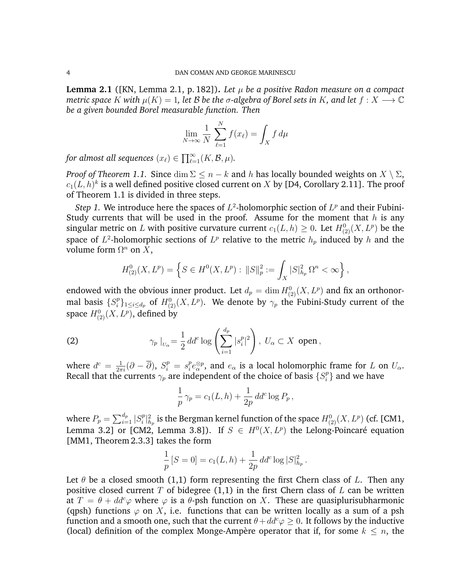**Lemma 2.1** ([KN, Lemma 2.1, p. 182]). Let  $\mu$  be a positive Radon measure on a compact *metric space* K with  $\mu(K) = 1$ , let B be the  $\sigma$ -algebra of Borel sets in K, and let  $f: X \longrightarrow \mathbb{C}$ *be a given bounded Borel measurable function. Then*

$$
\lim_{N \to \infty} \frac{1}{N} \sum_{\ell=1}^{N} f(x_{\ell}) = \int_{X} f d\mu
$$

*for almost all sequences*  $(x_{\ell}) \in \prod_{\ell=1}^{\infty} (K, \mathcal{B}, \mu)$ *.* 

*Proof of Theorem 1.1.* Since  $\dim \Sigma \leq n - k$  and h has locally bounded weights on  $X \setminus \Sigma$ ,  $c_1 (L,h)^k$  is a well defined positive closed current on  $X$  by [D4, Corollary 2.11]. The proof of Theorem 1.1 is divided in three steps.

*Step 1.* We introduce here the spaces of  $L^2$ -holomorphic section of  $L^p$  and their Fubini-Study currents that will be used in the proof. Assume for the moment that  $h$  is any singular metric on L with positive curvature current  $c_1(L, h) \geq 0$ . Let  $H^0_{(2)}(X, L^p)$  be the space of  $L^2$ -holomorphic sections of  $L^p$  relative to the metric  $h_p$  induced by  $h$  and the volume form  $\Omega^n$  on X,

$$
H_{(2)}^{0}(X, L^{p}) = \left\{ S \in H^{0}(X, L^{p}) : ||S||_{p}^{2} := \int_{X} |S|_{h_{p}}^{2} \Omega^{n} < \infty \right\},
$$

endowed with the obvious inner product. Let  $d_p = \dim H_{(2)}^0(X, L^p)$  and fix an orthonormal basis  $\{S_i^p\}$  $\{f_i^p\}_{1\leq i\leq d_p}$  of  $H^0_{(2)}(X,L^p).$  We denote by  $\gamma_p$  the Fubini-Study current of the space  $H^0_{(2)}(X,L^p)$ , defined by

(2) 
$$
\gamma_p \mid_{U_{\alpha}} = \frac{1}{2} dd^c \log \left( \sum_{i=1}^{d_p} |s_i^p|^2 \right), U_{\alpha} \subset X \text{ open},
$$

where  $d^c = \frac{1}{2\pi i} (\partial - \overline{\partial}), S_i^p = s_i^p$  $e_i^p e_\alpha^{\otimes p}$ , and  $e_\alpha$  is a local holomorphic frame for L on  $U_\alpha$ . Recall that the currents  $\gamma_p$  are independent of the choice of basis  $\{S_i^p\}$  $\{^{p}_{i}\}$  and we have

$$
\frac{1}{p}\gamma_p = c_1(L, h) + \frac{1}{2p}dd^c \log P_p,
$$

where  $P_p = \sum_{i=1}^{d_p} |S_i^p|$  $\mathbb{P}^p_i|^2_{h_p}$  is the Bergman kernel function of the space  $H^0_{(2)}(X, L^p)$  (cf. [CM1, Lemma 3.2] or [CM2, Lemma 3.8]). If  $S \in H^0(X, L^p)$  the Lelong-Poincaré equation [MM1, Theorem 2.3.3] takes the form

$$
\frac{1}{p}[S=0] = c_1(L, h) + \frac{1}{2p} dd^c \log |S|^2_{h_p}.
$$

Let  $\theta$  be a closed smooth (1,1) form representing the first Chern class of L. Then any positive closed current T of bidegree  $(1,1)$  in the first Chern class of L can be written at  $T = \theta + dd^c \varphi$  where  $\varphi$  is a  $\theta$ -psh function on X. These are quasiplurisubharmonic (qpsh) functions  $\varphi$  on X, i.e. functions that can be written locally as a sum of a psh function and a smooth one, such that the current  $\theta + dd^c \varphi \geq 0$ . It follows by the inductive (local) definition of the complex Monge-Ampère operator that if, for some  $k \leq n$ , the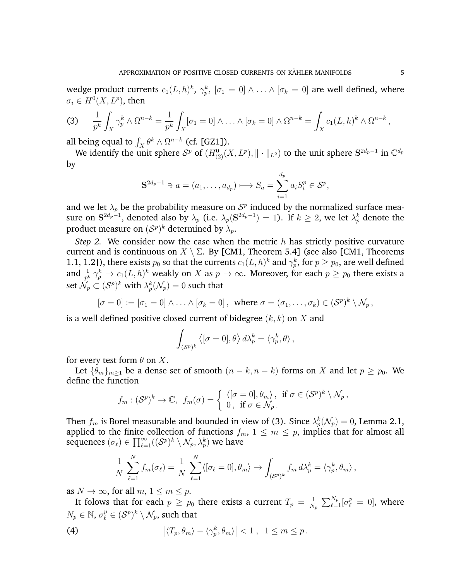wedge product currents  $c_1(L,h)^k,\ \gamma_p^k,\ [\sigma_1=0]\wedge\ldots\wedge[\sigma_k=0]$  are well defined, where  $\sigma_i \in H^0(X,L^p)$ , then

(3) 
$$
\frac{1}{p^k} \int_X \gamma_p^k \wedge \Omega^{n-k} = \frac{1}{p^k} \int_X [\sigma_1 = 0] \wedge \ldots \wedge [\sigma_k = 0] \wedge \Omega^{n-k} = \int_X c_1(L, h)^k \wedge \Omega^{n-k},
$$

all being equal to  $\int_X \theta^k \wedge \Omega^{n-k}$  (cf. [GZ1]).

We identify the unit sphere  $S^p$  of  $(H^0_{(2)}(X,L^p),\|\cdot\|_{L^2})$  to the unit sphere  $S^{2d_p-1}$  in  $\mathbb{C}^{d_p}$ by

$$
\mathbf{S}^{2d_p-1} \ni a = (a_1, \dots, a_{d_p}) \longmapsto S_a = \sum_{i=1}^{d_p} a_i S_i^p \in \mathcal{S}^p,
$$

and we let  $\lambda_p$  be the probability measure on  $S^p$  induced by the normalized surface measure on  $\mathbf{S}^{2d_p-1}$ , denoted also by  $\lambda_p$  (i.e.  $\lambda_p(\mathbf{S}^{2d_p-1})=1$ ). If  $k\geq 2$ , we let  $\lambda_p^k$  denote the product measure on  $(\mathcal{S}^p)^k$  determined by  $\lambda_p.$ 

*Step 2.* We consider now the case when the metric h has strictly positive curvature current and is continuous on  $X \setminus \Sigma$ . By [CM1, Theorem 5.4] (see also [CM1, Theorems 1.1, 1.2]), there exists  $p_0$  so that the currents  $c_1(L, h)^k$  and  $\gamma_p^k$ , for  $p \ge p_0$ , are well defined and  $\frac{1}{p^k} \gamma_p^k \to c_1(L, h)^k$  weakly on X as  $p \to \infty$ . Moreover, for each  $p \ge p_0$  there exists a set  $\bar{\mathcal{N}_p} \subset (\mathcal{S}^p)^k$  with  $\lambda_p^k(\mathcal{N}_p) = 0$  such that

$$
[\sigma = 0] := [\sigma_1 = 0] \wedge \ldots \wedge [\sigma_k = 0], \text{ where } \sigma = (\sigma_1, \ldots, \sigma_k) \in (\mathcal{S}^p)^k \setminus \mathcal{N}_p,
$$

is a well defined positive closed current of bidegree  $(k, k)$  on X and

$$
\int_{(\mathcal{S}^p)^k} \left\langle [\sigma = 0], \theta \right\rangle d\lambda_p^k = \left\langle \gamma_p^k, \theta \right\rangle,
$$

for every test form  $\theta$  on X.

Let  $\{\theta_m\}_{m>1}$  be a dense set of smooth  $(n-k, n-k)$  forms on X and let  $p \geq p_0$ . We define the function

$$
f_m: (\mathcal{S}^p)^k \to \mathbb{C}, \ f_m(\sigma) = \left\{ \begin{array}{l} \langle [\sigma = 0], \theta_m \rangle, \ \text{if } \sigma \in (\mathcal{S}^p)^k \setminus \mathcal{N}_p, \\ 0, \ \text{if } \sigma \in \mathcal{N}_p. \end{array} \right.
$$

Then  $f_m$  is Borel measurable and bounded in view of (3). Since  $\lambda_p^k(\mathcal N_p)=0$ , Lemma 2.1, applied to the finite collection of functions  $f_m$ ,  $1 \leq m \leq p$ , implies that for almost all sequences  $(\sigma_\ell) \in \prod_{\ell=1}^\infty ((\mathcal{S}^p)^k \setminus \mathcal{N}_p, \lambda_p^k)$  we have

$$
\frac{1}{N}\sum_{\ell=1}^N f_m(\sigma_\ell) = \frac{1}{N}\sum_{\ell=1}^N \langle [\sigma_\ell = 0], \theta_m \rangle \to \int_{(\mathcal{S}^p)^k} f_m d\lambda_p^k = \langle \gamma_p^k, \theta_m \rangle,
$$

as  $N \to \infty$ , for all  $m, 1 \le m \le p$ .

It folows that for each  $p \geq p_0$  there exists a current  $T_p = \frac{1}{N}$  $\frac{1}{N_p}\, \sum_{\ell=1}^{N_p} [\sigma^p_\ell \, = \, 0], \text{ where}$  $N_p \in \mathbb{N}$ ,  $\sigma_\ell^p \in (\mathcal{S}^p)^k \setminus \mathcal{N}_p$ , such that

(4) 
$$
\left|\langle T_p,\theta_m\rangle-\langle\gamma_p^k,\theta_m\rangle\right|<1\,,\ 1\leq m\leq p.
$$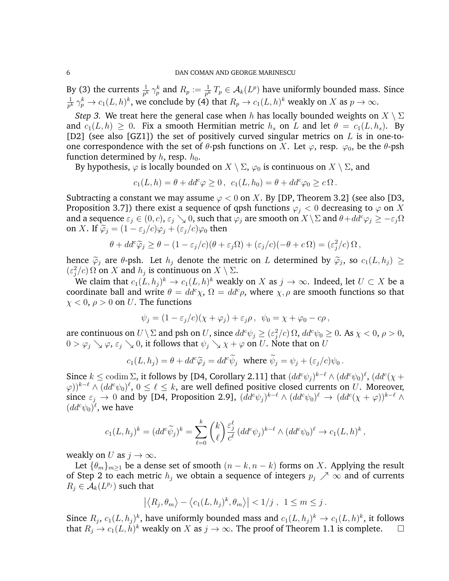By (3) the currents  $\frac{1}{p^k} \gamma_p^k$  and  $R_p := \frac{1}{p^k} T_p \in \mathcal{A}_k(L^p)$  have uniformly bounded mass. Since 1  $\frac{1}{p^k}\gamma_p^k\to c_1(L,h)^k,$  we conclude by (4) that  $R_p\to c_1(L,h)^k$  weakly on  $X$  as  $p\to\infty.$ 

*Step 3.* We treat here the general case when h has locally bounded weights on  $X \setminus \Sigma$ and  $c_1(L, h) \geq 0$ . Fix a smooth Hermitian metric  $h_s$  on L and let  $\theta = c_1(L, h_s)$ . By [D2] (see also [GZ1]) the set of positively curved singular metrics on  $L$  is in one-toone correspondence with the set of  $\theta$ -psh functions on X. Let  $\varphi$ , resp.  $\varphi_0$ , be the  $\theta$ -psh function determined by  $h$ , resp.  $h_0$ .

By hypothesis,  $\varphi$  is locally bounded on  $X \setminus \Sigma$ ,  $\varphi_0$  is continuous on  $X \setminus \Sigma$ , and

$$
c_1(L, h) = \theta + dd^c \varphi \ge 0, \ \ c_1(L, h_0) = \theta + dd^c \varphi_0 \ge c \Omega.
$$

Subtracting a constant we may assume  $\varphi$  < 0 on X. By [DP, Theorem 3.2] (see also [D3, Proposition 3.7]) there exist a sequence of qpsh functions  $\varphi_j < 0$  decreasing to  $\varphi$  on X and a sequence  $\varepsilon_j \in (0, c)$ ,  $\varepsilon_j \searrow 0$ , such that  $\varphi_j$  are smooth on  $X \setminus \Sigma$  and  $\theta + dd^c \varphi_j \ge -\varepsilon_j \Omega$ on X. If  $\tilde{\varphi}_i = (1 - \varepsilon_i/c)\varphi_i + (\varepsilon_i/c)\varphi_0$  then

$$
\theta + dd^c \widetilde{\varphi}_j \ge \theta - (1 - \varepsilon_j/c)(\theta + \varepsilon_j \Omega) + (\varepsilon_j/c)(-\theta + c\Omega) = (\varepsilon_j^2/c)\Omega,
$$

hence  $\tilde{\varphi}_j$  are  $\theta$ -psh. Let  $h_j$  denote the metric on L determined by  $\tilde{\varphi}_j$ , so  $c_1(L, h_j) \ge$  $(\varepsilon_j^2/c)$  Ω on X and  $h_j$  is continuous on  $X \setminus \Sigma$ .

We claim that  $c_1(L, h_j)^k \to c_1(L, h)^k$  weakly on  $X$  as  $j \to \infty$ . Indeed, let  $U \subset X$  be a coordinate ball and write  $\theta = dd^c \chi$ ,  $\Omega = dd^c \rho$ , where  $\chi$ ,  $\rho$  are smooth functions so that  $\chi$  < 0,  $\rho$  > 0 on *U*. The functions

$$
\psi_j = (1 - \varepsilon_j/c)(\chi + \varphi_j) + \varepsilon_j \rho \,, \ \psi_0 = \chi + \varphi_0 - c\rho \,,
$$

are continuous on  $U\setminus\Sigma$  and psh on  $U$ , since  $dd^c\psi_j\geq (\varepsilon_j^2/c)\,\Omega,$   $dd^c\psi_0\geq 0.$  As  $\chi< 0,$   $\rho> 0,$  $0 > \varphi_i \searrow \varphi, \varepsilon_j \searrow 0$ , it follows that  $\psi_i \searrow \chi + \varphi$  on U. Note that on U

$$
c_1(L, h_j) = \theta + dd^c \widetilde{\varphi}_j = dd^c \widetilde{\psi}_j \text{ where } \widetilde{\psi}_j = \psi_j + (\varepsilon_j/c)\psi_0.
$$

Since  $k \leq$  codim  $\Sigma$ , it follows by [D4, Corollary 2.11] that  $(dd^c\psi_j)^{k-\ell} \wedge (dd^c\psi_0)^{\ell}$ ,  $(dd^c(\chi +$  $(\varphi))^{k-\ell}\wedge (dd^c \psi_0)^\ell,\, 0\leq \ell\leq k,$  are well defined positive closed currents on  $U.$  Moreover, since  $\varepsilon_j \to 0$  and by [D4, Proposition 2.9],  $(dd^c\psi_j)^{k-\ell} \wedge (dd^c\psi_0)^{\ell} \to (dd^c(\chi + \varphi))^{k-\ell} \wedge$  $(dd^c\psi_0)^{\ell}$ , we have

$$
c_1(L, h_j)^k = (dd^c \widetilde{\psi}_j)^k = \sum_{\ell=0}^k {k \choose \ell} \frac{\varepsilon_j^{\ell}}{c^{\ell}} (dd^c \psi_j)^{k-\ell} \wedge (dd^c \psi_0)^{\ell} \to c_1(L, h)^k,
$$

weakly on U as  $j \to \infty$ .

Let  $\{\theta_m\}_{m>1}$  be a dense set of smooth  $(n-k, n-k)$  forms on X. Applying the result of Step 2 to each metric  $h_i$  we obtain a sequence of integers  $p_i \nearrow \infty$  and of currents  $R_j \in \mathcal{A}_k(L^{p_j})$  such that

$$
\left| \left\langle R_j, \theta_m \right\rangle - \left\langle c_1(L, h_j)^k, \theta_m \right\rangle \right| < 1/j, \ 1 \le m \le j.
$$

Since  $R_j$ ,  $c_1(L, h_j)^k$ , have uniformly bounded mass and  $c_1(L, h_j)^k \to c_1(L, h)^k$ , it follows that  $R_j \to c_1(L, h)^k$  weakly on X as  $j \to \infty$ . The proof of Theorem 1.1 is complete.  $\square$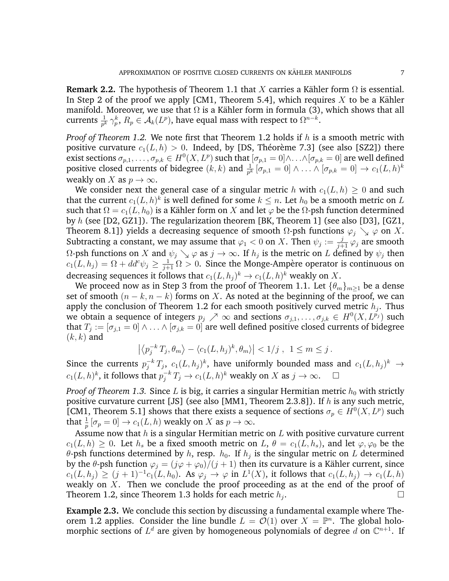**Remark 2.2.** The hypothesis of Theorem 1.1 that X carries a Kähler form  $\Omega$  is essential. In Step 2 of the proof we apply [CM1, Theorem 5.4], which requires X to be a Kähler manifold. Moreover, we use that  $\Omega$  is a Kähler form in formula (3), which shows that all currents  $\frac{1}{p^k} \gamma_p^k$ ,  $R_p \in \mathcal{A}_k(L^p)$ , have equal mass with respect to  $\Omega^{n-k}$ .

*Proof of Theorem 1.2.* We note first that Theorem 1.2 holds if h is a smooth metric with positive curvature  $c_1(L, h) > 0$ . Indeed, by [DS, Théorème 7.3] (see also [SZ2]) there exist sections  $\sigma_{p,1},\ldots,\sigma_{p,k}\in H^0(X,L^p)$  such that  $[\sigma_{p,1}=0]\wedge\ldots\wedge[\sigma_{p,k}=0]$  are well defined positive closed currents of bidegree  $(k, k)$  and  $\frac{1}{p^k} [\sigma_{p,1} = 0] \wedge \ldots \wedge [\sigma_{p,k} = 0] \to c_1(L, h)^k$ weakly on X as  $p \to \infty$ .

We consider next the general case of a singular metric h with  $c_1(L, h) > 0$  and such that the current  $c_1(L, h)^k$  is well defined for some  $k \leq n$ . Let  $h_0$  be a smooth metric on  $L$ such that  $\Omega = c_1(L, h_0)$  is a Kähler form on X and let  $\varphi$  be the  $\Omega$ -psh function determined by h (see [D2, GZ1]). The regularization theorem [BK, Theorem 1] (see also [D3], [GZ1, Theorem 8.1]) yields a decreasing sequence of smooth  $\Omega$ -psh functions  $\varphi_j \searrow \varphi$  on X. Subtracting a constant, we may assume that  $\varphi_1 < 0$  on X. Then  $\psi_j := \frac{j}{j+1} \varphi_j$  are smooth Ω-psh functions on X and  $\psi_j \searrow \varphi$  as  $j \to \infty$ . If  $h_j$  is the metric on L defined by  $\psi_j$  then  $c_1(L, h_j) = \Omega + dd^c \psi_j \ge \frac{1}{j+1} \Omega > 0$ . Since the Monge-Ampère operator is continuous on decreasing sequences it follows that  $c_1(L, h_j)^k \to c_1(L, h)^k$  weakly on  $X$ .

We proceed now as in Step 3 from the proof of Theorem 1.1. Let  $\{\theta_m\}_{m>1}$  be a dense set of smooth  $(n - k, n - k)$  forms on X. As noted at the beginning of the proof, we can apply the conclusion of Theorem 1.2 for each smooth positively curved metric  $h_j$ . Thus we obtain a sequence of integers  $p_j\nearrow\infty$  and sections  $\sigma_{j,1},\ldots,\sigma_{j,k}\in H^0(X,L^{p_j})$  such that  $T_j := [\sigma_{j,1} = 0] \wedge \ldots \wedge [\sigma_{j,k} = 0]$  are well defined positive closed currents of bidegree  $(k, k)$  and

$$
\left| \left\langle p_j^{-k} T_j, \theta_m \right\rangle - \left\langle c_1(L, h_j)^k, \theta_m \right\rangle \right| < 1/j, \ 1 \le m \le j.
$$

Since the currents  $p_j^{-k}T_j$ ,  $c_1(L, h_j)^k$ , have uniformly bounded mass and  $c_1(L, h_j)^k \to$  $c_1(L, h)^k$ , it follows that  $p_j^{-k} T_j \to c_1(L, h)^k$  weakly on X as  $j \to \infty$ .  $\Box$ 

*Proof of Theorem 1.3.* Since L is big, it carries a singular Hermitian metric  $h_0$  with strictly positive curvature current [JS] (see also [MM1, Theorem 2.3.8]). If  $h$  is any such metric, [CM1, Theorem 5.1] shows that there exists a sequence of sections  $\sigma_p \in H^0(X, L^p)$  such that  $\frac{1}{p} [\sigma_p = 0] \to c_1(L, h)$  weakly on X as  $p \to \infty$ .

Assume now that  $h$  is a singular Hermitian metric on  $L$  with positive curvature current  $c_1(L, h) \geq 0$ . Let  $h_s$  be a fixed smooth metric on  $L, \theta = c_1(L, h_s)$ , and let  $\varphi, \varphi_0$  be the  $\theta$ -psh functions determined by  $h$ , resp.  $h_0$ . If  $h_j$  is the singular metric on  $L$  determined by the  $\theta$ -psh function  $\varphi_i = (j\varphi + \varphi_0)/(j + 1)$  then its curvature is a Kähler current, since  $c_1(L, h_j) \ge (j+1)^{-1} c_1(L, h_0)$ . As  $\varphi_j \to \varphi$  in  $L^1(X)$ , it follows that  $c_1(L, h_j) \to c_1(L, h)$ weakly on  $X$ . Then we conclude the proof proceeding as at the end of the proof of Theorem 1.2, since Theorem 1.3 holds for each metric  $h_i$ . .

**Example 2.3.** We conclude this section by discussing a fundamental example where Theorem 1.2 applies. Consider the line bundle  $L = \mathcal{O}(1)$  over  $X = \mathbb{P}^n$ . The global holomorphic sections of  $L^d$  are given by homogeneous polynomials of degree d on  $\mathbb{C}^{n+1}$ . If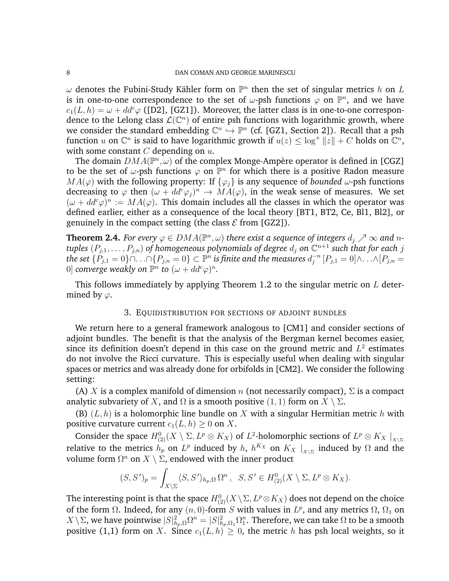$\omega$  denotes the Fubini-Study Kähler form on  $\mathbb{P}^n$  then the set of singular metrics h on L is in one-to-one correspondence to the set of  $\omega$ -psh functions  $\varphi$  on  $\mathbb{P}^n$ , and we have  $c_1(L, h) = \omega + dd^c \varphi$  ([D2], [GZ1]). Moreover, the latter class is in one-to-one correspondence to the Lelong class  $\mathcal{L}(\mathbb{C}^n)$  of entire psh functions with logarithmic growth, where we consider the standard embedding  $\mathbb{C}^n \hookrightarrow \mathbb{P}^n$  (cf. [GZ1, Section 2]). Recall that a psh function u on  $\mathbb{C}^n$  is said to have logarithmic growth if  $u(z) \leq \log^+ \|z\| + C$  holds on  $\mathbb{C}^n$ , with some constant  $C$  depending on  $u$ .

The domain  $DMA(\mathbb{P}^n, \omega)$  of the complex Monge-Ampère operator is defined in [CGZ] to be the set of  $\omega$ -psh functions  $\varphi$  on  $\mathbb{P}^n$  for which there is a positive Radon measure  $MA(\varphi)$  with the following property: If  $\{\varphi_i\}$  is any sequence of *bounded*  $\omega$ -psh functions decreasing to  $\varphi$  then  $(\omega + dd^c \varphi_j)^n \to M\dot{A}(\varphi)$ , in the weak sense of measures. We set  $(\omega + dd^c \varphi)^n := MA(\varphi)$ . This domain includes all the classes in which the operator was defined earlier, either as a consequence of the local theory [BT1, BT2, Ce, Bl1, Bl2], or genuinely in the compact setting (the class  $\mathcal E$  from [GZ2]).

**Theorem 2.4.** For every  $\varphi \in DMA(\mathbb{P}^n, \omega)$  there exist a sequence of integers  $d_j \nearrow \infty$  and n $tuples$   $(P_{j,1}, \ldots, P_{j,n})$  of homogeneous polynomials of degree  $d_j$  on  $\mathbb{C}^{n+1}$  such that for each  $j$  $\tilde{P}_{j,1}=0\}\cap\ldots\cap\{P_{j,n}=0\}\subset\mathbb{P}^n$  is finite and the measures  $d^{-n}_j$  $j^{-n}\left[P_{j,1}=0\right]$   $\wedge\ldots\wedge\left[P_{j,n}=0\right]$ 0] *converge weakly on*  $\mathbb{P}^n$  *to*  $(\omega + dd^c \varphi)^n$ *.* 

This follows immediately by applying Theorem 1.2 to the singular metric on  $L$  determined by  $\varphi$ .

## 3. EQUIDISTRIBUTION FOR SECTIONS OF ADJOINT BUNDLES

We return here to a general framework analogous to [CM1] and consider sections of adjoint bundles. The benefit is that the analysis of the Bergman kernel becomes easier, since its definition doesn't depend in this case on the ground metric and  $L^2$  estimates do not involve the Ricci curvature. This is especially useful when dealing with singular spaces or metrics and was already done for orbifolds in [CM2]. We consider the following setting:

(A) X is a complex manifold of dimension n (not necessarily compact),  $\Sigma$  is a compact analytic subvariety of X, and  $\Omega$  is a smooth positive  $(1, 1)$  form on  $X \setminus \Sigma$ .

(B)  $(L, h)$  is a holomorphic line bundle on X with a singular Hermitian metric h with positive curvature current  $c_1(L, h) \geq 0$  on X.

Consider the space  $H^0_{(2)}(X \setminus \Sigma, L^p \otimes K_X)$  of  $L^2$ -holomorphic sections of  $L^p \otimes K_X \mid_{X \setminus \Sigma}$ relative to the metrics  $h_p$  on  $L^p$  induced by  $h$ ,  $h^{K_X}$  on  $K_X \mid_{X \setminus \Sigma}$  induced by  $\Omega$  and the volume form  $\Omega^n$  on  $X \setminus \Sigma$ , endowed with the inner product

$$
(S, S')_p = \int_{X \setminus \Sigma} \langle S, S' \rangle_{h_p, \Omega} \Omega^n, \quad S, S' \in H^0_{(2)}(X \setminus \Sigma, L^p \otimes K_X).
$$

The interesting point is that the space  $H^0_{(2)}(X\backslash\Sigma,L^p\!\otimes\!K_X)$  does not depend on the choice of the form  $\Omega$ . Indeed, for any  $(n, 0)$ -form S with values in  $L^p$ , and any metrics  $\Omega$ ,  $\Omega_1$  on  $X\setminus\Sigma$ , we have pointwise  $|S|^2_{h_p,\Omega} \Omega^n=|S|^2_{h_p,\Omega_1}\Omega^n_1.$  Therefore, we can take  $\Omega$  to be a smooth positive (1,1) form on X. Since  $c_1(L, h) \geq 0$ , the metric h has psh local weights, so it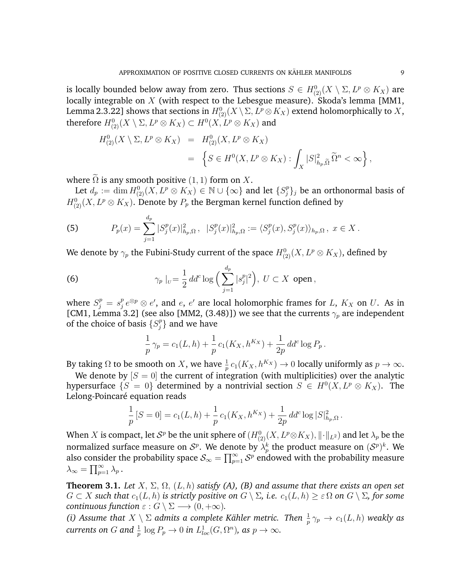is locally bounded below away from zero. Thus sections  $S \in H^0_{(2)}(X \setminus \Sigma, L^p \otimes K_X)$  are locally integrable on  $X$  (with respect to the Lebesgue measure). Skoda's lemma [MM1, Lemma 2.3.22] shows that sections in  $H^0_{(2)}(X\setminus\Sigma,L^p\otimes K_X)$  extend holomorphically to  $X,$ therefore  $H^0_{(2)}(X\setminus \Sigma, L^p\otimes K_X)\subset H^0(X, L^p\otimes K_X)$  and

$$
H_{(2)}^{0}(X \setminus \Sigma, L^{p} \otimes K_{X}) = H_{(2)}^{0}(X, L^{p} \otimes K_{X})
$$
  
= 
$$
\left\{ S \in H^{0}(X, L^{p} \otimes K_{X}) : \int_{X} |S|_{h_{p}, \tilde{\Omega}}^{2} \widetilde{\Omega}^{n} < \infty \right\},
$$

where  $\widetilde{\Omega}$  is any smooth positive (1, 1) form on X.

Let  $d_p := \dim H_{(2)}^0(X, L^p\otimes K_X) \in \mathbb{N}\cup \{\infty\}$  and let  $\{S_j^p\}$  $\{f_j^p\}_j$  be an orthonormal basis of  $H^0_{(2)}(X,L^p\otimes K_X).$  Denote by  $P_p$  the Bergman kernel function defined by

(5) 
$$
P_p(x) = \sum_{j=1}^{d_p} |S_j^p(x)|_{h_p,\Omega}^2, \quad |S_j^p(x)|_{h_p,\Omega}^2 := \langle S_j^p(x), S_j^p(x) \rangle_{h_p,\Omega}, \quad x \in X.
$$

We denote by  $\gamma_p$  the Fubini-Study current of the space  $H^0_{(2)}(X, L^p\otimes K_X),$  defined by

(6) 
$$
\gamma_p|_{U} = \frac{1}{2} dd^c \log \Big( \sum_{j=1}^{d_p} |s_j^p|^2 \Big), \ U \subset X \text{ open},
$$

where  $S_j^p = s_j^p$  $\frac{p}{j}e^{\otimes p}\otimes e',$  and  $e,$   $e'$  are local holomorphic frames for  $L,$   $K_X$  on  $U.$  As in [CM1, Lemma 3.2] (see also [MM2, (3.48)]) we see that the currents  $\gamma_p$  are independent of the choice of basis  $\{S_i^p\}$  $_j^p$ } and we have

$$
\frac{1}{p}\gamma_p = c_1(L, h) + \frac{1}{p}c_1(K_X, h^{K_X}) + \frac{1}{2p}dd^c \log P_p.
$$

By taking  $\Omega$  to be smooth on X, we have  $\frac{1}{p} c_1(K_X, h^{K_X}) \to 0$  locally uniformly as  $p \to \infty$ .

We denote by  $|S = 0|$  the current of integration (with multiplicities) over the analytic hypersurface  $\{S = 0\}$  determined by a nontrivial section  $S \in H^0(X, L^p \otimes K_X)$ . The Lelong-Poincaré equation reads

$$
\frac{1}{p}[S=0] = c_1(L, h) + \frac{1}{p}c_1(K_X, h^{K_X}) + \frac{1}{2p}dd^c \log |S|^2_{h_p, \Omega}.
$$

When  $X$  is compact, let  $\mathcal{S}^p$  be the unit sphere of  $(H_{(2)}^{0}(X, L^p\otimes K_X),\|\cdot\|_{L^2})$  and let  $\lambda_p$  be the normalized surface measure on  $\mathcal{S}^p$ . We denote by  $\lambda^k_p$  the product measure on  $(\mathcal{S}^p)^k$ . We also consider the probability space  $\mathcal{S}_\infty = \prod_{p=1}^\infty \mathcal{S}^p$  endowed with the probability measure  $\lambda_{\infty} = \prod_{p=1}^{\infty} \lambda_p$ .

**Theorem 3.1.** *Let*  $X$ ,  $\Sigma$ ,  $\Omega$ ,  $(L, h)$  *satisfy (A), (B) and assume that there exists an open set*  $G \subset X$  *such that*  $c_1(L, h)$  *is strictly positive on*  $G \setminus \Sigma$ *, i.e.*  $c_1(L, h) \geq \varepsilon \Omega$  *on*  $G \setminus \Sigma$ *, for some continuous function*  $\varepsilon$  :  $G \setminus \Sigma \longrightarrow (0, +\infty)$ .

*(i)* Assume that  $X \setminus \Sigma$  admits a complete Kähler metric. Then  $\frac{1}{n}$  $\frac{1}{p} \, \gamma_p \, \rightarrow \, c_1(L,h)$  weakly as  $\textit{currents on } G \textit{ and } \frac{1}{p} \log P_p \rightarrow 0 \textit{ in } L^{1}_{loc}(G,\Omega^n) \textit{, as } p\rightarrow \infty.$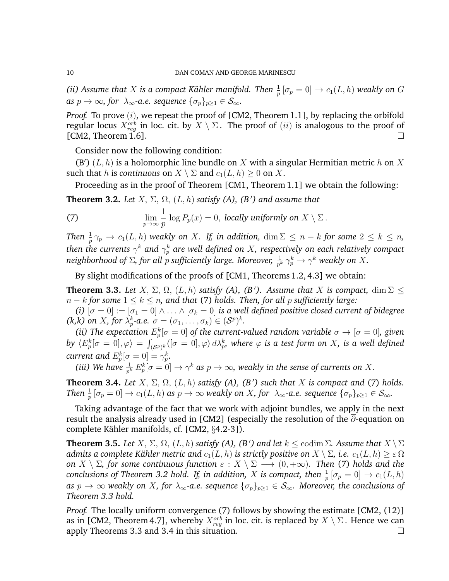*(ii)* Assume that X is a compact Kähler manifold. Then  $\frac{1}{n}$  $\frac{1}{p}\left[\sigma_p=0\right]\rightarrow c_1(L,h)$  weakly on  $G$ *as*  $p \to \infty$ *, for*  $\lambda_{\infty}$ *-a.e. sequence*  $\{\sigma_p\}_{p>1} \in S_{\infty}$ *.* 

*Proof.* To prove  $(i)$ , we repeat the proof of [CM2, Theorem 1.1], by replacing the orbifold regular locus  $X_{reg}^{orb}$  in loc. cit. by  $X\setminus\Sigma$  . The proof of  $(ii)$  is analogous to the proof of [CM2, Theorem 1.6].

Consider now the following condition:

(B')  $(L, h)$  is a holomorphic line bundle on X with a singular Hermitian metric h on X such that h is *continuous* on  $X \setminus \Sigma$  and  $c_1(L, h) \geq 0$  on X.

Proceeding as in the proof of Theorem [CM1, Theorem 1.1] we obtain the following:

**Theorem 3.2.** *Let*  $X$ ,  $\Sigma$ ,  $\Omega$ ,  $(L, h)$  *satisfy (A), (B') and assume that* 

(7) 
$$
\lim_{p \to \infty} \frac{1}{p} \log P_p(x) = 0, \text{ locally uniformly on } X \setminus \Sigma.
$$

*Then*  $\frac{1}{p} \gamma_p \to c_1(L, h)$  *weakly on* X*.* If, in addition,  $\dim \Sigma \leq n - k$  for some  $2 \leq k \leq n$ , then the currents  $\gamma^k$  and  $\gamma^k_p$  are well defined on  $X$ , respectively on each relatively compact neighborhood of  $\Sigma$ , for all  $p$  sufficiently large. Moreover,  $\frac{1}{p^k}\gamma_p^k\to \gamma^k$  weakly on  $X.$ 

By slight modifications of the proofs of [CM1, Theorems 1.2, 4.3] we obtain:

**Theorem 3.3.** Let  $X$ ,  $\Sigma$ ,  $\Omega$ ,  $(L, h)$  satisfy (A), (B'). Assume that X is compact,  $\dim \Sigma \leq$ n − k *for some* 1 ≤ k ≤ n*, and that* (7) *holds. Then, for all* p *sufficiently large:*

*(i)*  $[\sigma = 0] := [\sigma_1 = 0] \land ... \land [\sigma_k = 0]$  *is a well defined positive closed current of bidegree*  $(k, k)$  on *X*, for  $\lambda_p^k$ -a.e.  $\sigma = (\sigma_1, \ldots, \sigma_k) \in (\mathcal{S}^p)^k$ .

(*ii*) The expectation  $E_p^k[\sigma = 0]$  of the current-valued random variable  $\sigma \to [\sigma = 0]$ , given  $b$ y  $\langle E_p^k[\sigma=0],\varphi\rangle=\int_{(\mathcal{S}^p)^k}\langle[\sigma=0],\varphi\rangle\,d\lambda_p^k$ , where  $\varphi$  is a test form on  $X$ , is a well defined *current and*  $E_p^k[\sigma = 0] = \gamma_p^k$ *.* 

(*iii*) We have  $\frac{1}{p^k} E_p^k[\sigma = 0] \to \gamma^k$  as  $p \to \infty$ , weakly in the sense of currents on X.

**Theorem 3.4.** *Let*  $X$ ,  $\Sigma$ ,  $\Omega$ ,  $(L, h)$  *satisfy*  $(A)$ ,  $(B')$  *such that*  $X$  *is compact and* (7) *holds. Then*  $\frac{1}{p} [\sigma_p = 0] \to c_1(L, h)$  *as*  $p \to \infty$  *weakly on* X, for  $\lambda_\infty$ -a.e. sequence  $\{\sigma_p\}_{p \geq 1} \in \mathcal{S}_\infty$ .

Taking advantage of the fact that we work with adjoint bundles, we apply in the next result the analysis already used in [CM2] (especially the resolution of the ∂-equation on complete Kähler manifolds, cf.  $[CM2, §4.2-3]$ .

**Theorem 3.5.** *Let*  $X$ ,  $\Sigma$ ,  $\Omega$ ,  $(L, h)$  *satisfy (A), (B') and let*  $k \leq$  codim  $\Sigma$ *. Assume that*  $X \setminus \Sigma$ *admits a complete Kähler metric and*  $c_1(L, h)$  *is strictly positive on*  $X \setminus \Sigma$ *, i.e.*  $c_1(L, h) \geq \varepsilon \Omega$ *on*  $X \setminus \Sigma$ *, for some continuous function*  $\varepsilon : X \setminus \Sigma \longrightarrow (0, +\infty)$ *. Then* (7) *holds and the*  $conclusions of Theorem 3.2 hold.$  If, in addition,  $X$  is compact, then  $\frac{1}{p}\left[\sigma_p=0\right]\rightarrow c_1(L,h)$ *as*  $p \to \infty$  *weakly on X, for*  $\lambda_{\infty}$ -a.e. sequence  $\{\sigma_p\}_{p\geq 1} \in S_{\infty}$ *. Moreover, the conclusions of Theorem 3.3 hold.*

*Proof.* The locally uniform convergence (7) follows by showing the estimate [CM2, (12)] as in [CM2, Theorem 4.7], whereby  $X_{reg}^{orb}$  in loc. cit. is replaced by  $X \setminus \Sigma$ . Hence we can apply Theorems 3.3 and 3.4 in this situation.  $\square$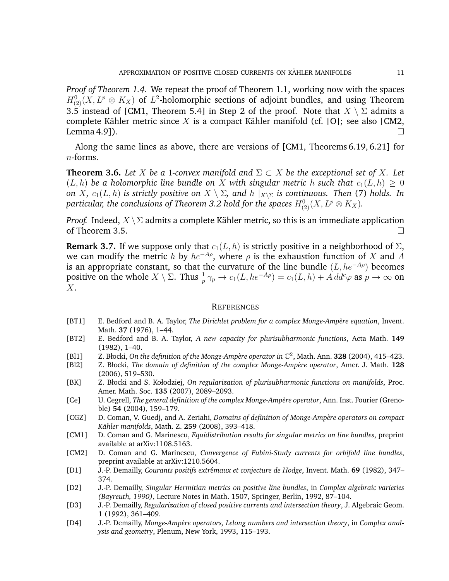*Proof of Theorem 1.4.* We repeat the proof of Theorem 1.1, working now with the spaces  $H^0_{(2)}(X,L^p\otimes K_X)$  of  $L^2$ -holomorphic sections of adjoint bundles, and using Theorem 3.5 instead of [CM1, Theorem 5.4] in Step 2 of the proof. Note that  $X \setminus \Sigma$  admits a complete Kähler metric since X is a compact Kähler manifold (cf. [O]; see also [CM2, Lemma 4.91).  $\square$ 

Along the same lines as above, there are versions of [CM1, Theorems 6.19, 6.21] for  $n$ -forms.

**Theorem 3.6.** Let X be a 1-convex manifold and  $\Sigma \subset X$  be the exceptional set of X. Let  $(L, h)$  be a holomorphic line bundle on X with singular metric h such that  $c_1(L, h) > 0$ *on X*,  $c_1(L, h)$  *is strictly positive on*  $X \setminus \Sigma$ , and  $h \mid_{X \setminus \Sigma}$  *is continuous. Then* (7) *holds. In* particular, the conclusions of Theorem 3.2 hold for the spaces  $H^0_{(2)}(X, L^p\otimes K_X).$ 

*Proof.* Indeed,  $X \setminus \Sigma$  admits a complete Kähler metric, so this is an immediate application of Theorem 3.5.  $\Box$ 

**Remark 3.7.** If we suppose only that  $c_1(L, h)$  is strictly positive in a neighborhood of  $\Sigma$ , we can modify the metric h by  $he^{-A\rho}$ , where  $\rho$  is the exhaustion function of X and A is an appropriate constant, so that the curvature of the line bundle  $(L, he^{-A\rho})$  becomes positive on the whole  $X \setminus \Sigma$ . Thus  $\frac{1}{p} \gamma_p \to c_1(L, he^{-A\rho}) = c_1(L, h) + A \, dd^c\varphi$  as  $p \to \infty$  on X.

### **REFERENCES**

- [BT1] E. Bedford and B. A. Taylor, *The Dirichlet problem for a complex Monge-Ampère equation*, Invent. Math. **37** (1976), 1–44.
- [BT2] E. Bedford and B. A. Taylor, *A new capacity for plurisubharmonic functions*, Acta Math. **149** (1982), 1–40.
- [Bl1] Z. Błocki, On the definition of the Monge-Ampère operator in  $\mathbb{C}^2$ , Math. Ann. **328** (2004), 415–423.
- [Bl2] Z. Błocki, *The domain of definition of the complex Monge-Amp`ere operator*, Amer. J. Math. **128** (2006), 519–530.
- [BK] Z. Błocki and S. Kołodziej, *On regularization of plurisubharmonic functions on manifolds*, Proc. Amer. Math. Soc. **135** (2007), 2089–2093.
- [Ce] U. Cegrell, *The general definition of the complex Monge-Amp`ere operator*, Ann. Inst. Fourier (Grenoble) **54** (2004), 159–179.
- [CGZ] D. Coman, V. Guedj, and A. Zeriahi, *Domains of definition of Monge-Amp`ere operators on compact Kahler manifolds ¨* , Math. Z. **259** (2008), 393–418.
- [CM1] D. Coman and G. Marinescu, *Equidistribution results for singular metrics on line bundles*, preprint available at arXiv:1108.5163.
- [CM2] D. Coman and G. Marinescu, *Convergence of Fubini-Study currents for orbifold line bundles*, preprint available at arXiv:1210.5604.
- [D1] J.-P. Demailly, *Courants positifs extrˆemaux et conjecture de Hodge*, Invent. Math. **69** (1982), 347– 374.
- [D2] J.-P. Demailly, *Singular Hermitian metrics on positive line bundles*, in *Complex algebraic varieties (Bayreuth, 1990)*, Lecture Notes in Math. 1507, Springer, Berlin, 1992, 87–104.
- [D3] J.-P. Demailly, *Regularization of closed positive currents and intersection theory*, J. Algebraic Geom. **1** (1992), 361–409.
- [D4] J.-P. Demailly, *Monge-Ampère operators, Lelong numbers and intersection theory*, in *Complex analysis and geometry*, Plenum, New York, 1993, 115–193.